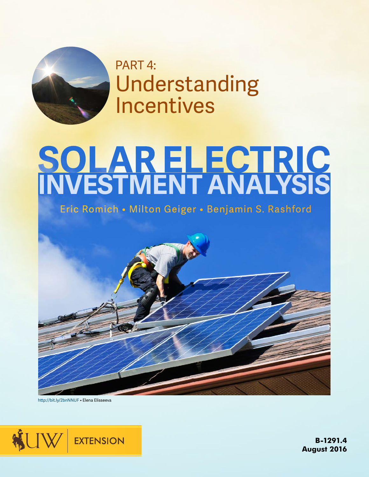

PART 4: Understanding Incentives

# **INVESTMENT ANALYSIS**

Eric Romich • Milton Geiger • Benjamin S. Rashford

http://bit.ly/2bnNNUF • Elena Elisseeva



**B-1291.4 August 2016**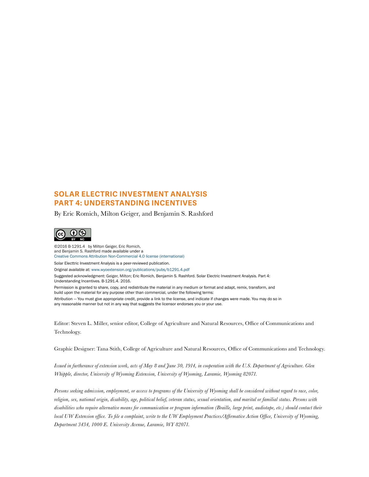#### **SOLAR ELECTRIC INVESTMENT ANALYSIS PART 4: UNDERSTANDING INCENTIVES**

By Eric Romich, Milton Geiger, and Benjamin S. Rashford



©2016 B-1291.4 by Milton Geiger, Eric Romich, and Benjamin S. Rashford made available under a [Creative Commons Attribution Non-Commercial 4.0 license \(international\)](http://creativecommons.org/licenses/by-nc/4.0/) Solar Electtric Investment Analysis is a peer-reviewed publication. Original available at: www.wyoextension.org/publications/pubs/b1291.4.pdf Suggested acknowledgment: Geiger, Milton; Eric Romich, Benjamin S. Rashford. Solar Electric Investment Analysis. Part 4: Understanding Incentives. B-1291.4. 2016. Permission is granted to share, copy, and redistribute the material in any medium or format and adapt, remix, transform, and build upon the material for any purpose other than commercial, under the following terms: Attribution — You must give appropriate credit, provide a link to the license, and indicate if changes were made. You may do so in any reasonable manner but not in any way that suggests the licensor endorses you or your use.

Editor: Steven L. Miller, senior editor, College of Agriculture and Natural Resources, Office of Communications and Technology.

Graphic Designer: Tana Stith, College of Agriculture and Natural Resources, Office of Communications and Technology.

*Issued in furtherance of extension work, acts of May 8 and June 30, 1914, in cooperation with the U.S. Department of Agriculture. Glen Whipple, director, University of Wyoming Extension, University of Wyoming, Laramie, Wyoming 82071.*

*Persons seeking admission, employment, or access to programs of the University of Wyoming shall be considered without regard to race, color, religion, sex, national origin, disability, age, political belief, veteran status, sexual orientation, and marital or familial status. Persons with disabilities who require alternative means for communication or program information (Braille, large print, audiotape, etc.) should contact their local UW Extension office. To file a complaint, write to the UW Employment Practices/Affirmative Action Office, University of Wyoming, Department 3434, 1000 E. University Avenue, Laramie, WY 82071.*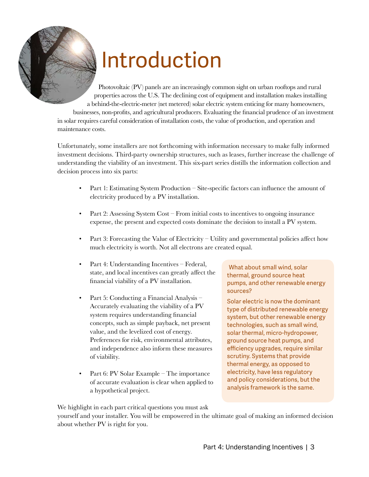

## Introduction

Photovoltaic (PV) panels are an increasingly common sight on urban rooftops and rural properties across the U.S. The declining cost of equipment and installation makes installing a behind-the-electric-meter (net metered) solar electric system enticing for many homeowners, businesses, non-profits, and agricultural producers. Evaluating the financial prudence of an investment in solar requires careful consideration of installation costs, the value of production, and operation and maintenance costs.

Unfortunately, some installers are not forthcoming with information necessary to make fully informed investment decisions. Third-party ownership structures, such as leases, further increase the challenge of understanding the viability of an investment. This six-part series distills the information collection and decision process into six parts:

- Part 1: Estimating System Production Site-specific factors can influence the amount of electricity produced by a PV installation.
- Part 2: Assessing System Cost From initial costs to incentives to ongoing insurance expense, the present and expected costs dominate the decision to install a PV system.
- Part 3: Forecasting the Value of Electricity Utility and governmental policies affect how much electricity is worth. Not all electrons are created equal.
- Part 4: Understanding Incentives Federal, state, and local incentives can greatly affect the financial viability of a PV installation.
- Part 5: Conducting a Financial Analysis Accurately evaluating the viability of a PV system requires understanding financial concepts, such as simple payback, net present value, and the levelized cost of energy. Preferences for risk, environmental attributes, and independence also inform these measures of viability.
- Part 6: PV Solar Example The importance of accurate evaluation is clear when applied to a hypothetical project.

What about small wind, solar thermal, ground source heat pumps, and other renewable energy sources?

Solar electric is now the dominant type of distributed renewable energy system, but other renewable energy technologies, such as small wind, solar thermal, micro-hydropower, ground source heat pumps, and efficiency upgrades, require similar scrutiny. Systems that provide thermal energy, as opposed to electricity, have less regulatory and policy considerations, but the analysis framework is the same.

We highlight in each part critical questions you must ask

yourself and your installer. You will be empowered in the ultimate goal of making an informed decision about whether PV is right for you.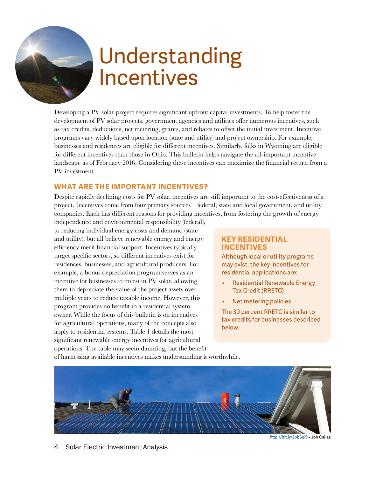### Understanding Incentives

Developing a PV solar project requires significant upfront capital investments. To help foster the development of PV solar projects, government agencies and utilities offer numerous incentives, such as tax credits, deductions, net metering, grants, and rebates to offset the initial investment. Incentive programs vary widely based upon location (state and utility) and project ownership. For example, businesses and residences are eligible for different incentives. Similarly, folks in Wyoming are eligible for different incentives than those in Ohio. This bulletin helps navigate the all-important incentive landscape as of February 2016. Considering these incentives can maximize the financial return from a PV investment.

#### **WHAT ARE THE IMPORTANT INCENTIVES?**

Despite rapidly declining costs for PV solar, incentives are still important to the cost-effectiveness of a project. Incentives come from four primary sources – federal, state and local government, and utility companies. Each has different reasons for providing incentives, from fostering the growth of energy

independence and environmental responsibility (federal), to reducing individual energy costs and demand (state and utility), but all believe renewable energy and energy efficiency merit financial support. Incentives typically target specific sectors, so different incentives exist for residences, businesses, and agricultural producers. For example, a bonus depreciation program serves as an incentive for businesses to invest in PV solar, allowing them to depreciate the value of the project assets over multiple years to reduce taxable income. However, this program provides no benefit to a residential system owner. While the focus of this bulletin is on incentives for agricultural operations, many of the concepts also apply to residential systems. Table 1 details the most significant renewable energy incentives for agricultural operations. The table may seem daunting, but the benefit

#### **KEY RESIDENTIAL INCENTIVES**

Although local or utility programs may exist, the key incentives for residential applications are:

- Residential Renewable Energy Tax Credit (RRETC)
- Net metering policies

The 30 percent RRETC is similar to tax credits for businesses described below.

of harnessing available incentives makes understanding it worthwhile.



4 | Solar Electric Investment Analysis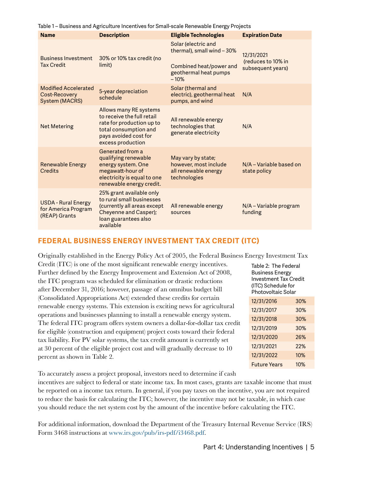| Table 1 – Business and Agriculture Incentives for Small-scale Renewable Energy Projects |  |  |  |
|-----------------------------------------------------------------------------------------|--|--|--|
|-----------------------------------------------------------------------------------------|--|--|--|

| <b>Name</b>                                                                  | <b>Description</b>                                                                                                                                       | <b>Eligible Technologies</b>                                                                                    | <b>Expiration Date</b>                                |
|------------------------------------------------------------------------------|----------------------------------------------------------------------------------------------------------------------------------------------------------|-----------------------------------------------------------------------------------------------------------------|-------------------------------------------------------|
| <b>Business Investment</b><br><b>Tax Credit</b>                              | 30% or 10% tax credit (no<br>limit)                                                                                                                      | Solar (electric and<br>thermal), small wind - 30%<br>Combined heat/power and<br>geothermal heat pumps<br>$-10%$ | 12/31/2021<br>(reduces to 10% in<br>subsequent years) |
| <b>Modified Accelerated</b><br><b>Cost-Recovery</b><br><b>System (MACRS)</b> | 5-year depreciation<br>schedule                                                                                                                          | Solar (thermal and<br>electric), geothermal heat<br>pumps, and wind                                             | N/A                                                   |
| <b>Net Metering</b>                                                          | Allows many RE systems<br>to receive the full retail<br>rate for production up to<br>total consumption and<br>pays avoided cost for<br>excess production | All renewable energy<br>technologies that<br>generate electricity                                               | N/A                                                   |
| <b>Renewable Energy</b><br>Credits                                           | Generated from a<br>qualifying renewable<br>energy system. One<br>megawatt-hour of<br>electricity is equal to one<br>renewable energy credit.            | May vary by state;<br>however, most include<br>all renewable energy<br>technologies                             | N/A – Variable based on<br>state policy               |
| <b>USDA - Rural Energy</b><br>for America Program<br>(REAP) Grants           | 25% grant available only<br>to rural small businesses<br>(currently all areas except<br>Cheyenne and Casper);<br>loan guarantees also<br>available       | All renewable energy<br>sources                                                                                 | N/A - Variable program<br>funding                     |

#### **FEDERAL BUSINESS ENERGY INVESTMENT TAX CREDIT (ITC)**

Originally established in the Energy Policy Act of 2005, the Federal Business Energy Investment Tax

Credit (ITC) is one of the most significant renewable energy incentives. Further defined by the Energy Improvement and Extension Act of 2008, the ITC program was scheduled for elimination or drastic reductions after December 31, 2016; however, passage of an omnibus budget bill (Consolidated Appropriations Act) extended these credits for certain renewable energy systems. This extension is exciting news for agricultural operations and businesses planning to install a renewable energy system. The federal ITC program offers system owners a dollar-for-dollar tax credit for eligible (construction and equipment) project costs toward their federal tax liability. For PV solar systems, the tax credit amount is currently set at 30 percent of the eligible project cost and will gradually decrease to 10 percent as shown in Table 2.

Table 2: The Federal Business Energy Investment Tax Credit (ITC) Schedule for Photovoltaic Solar 12/31/2016 30% 12/31/2017 30% 12/31/2018 30% 12/31/2019 30% 12/31/2020 26% 12/31/2021 22% 12/31/2022 10% Future Years 10%

To accurately assess a project proposal, investors need to determine if cash

incentives are subject to federal or state income tax. In most cases, grants are taxable income that must be reported on a income tax return. In general, if you pay taxes on the incentive, you are not required to reduce the basis for calculating the ITC; however, the incentive may not be taxable, in which case you should reduce the net system cost by the amount of the incentive before calculating the ITC.

For additional information, download the Department of the Treasury Internal Revenue Service (IRS) Form 3468 instructions at [www.irs.gov/pub/irs-pdf/i3468.pdf](http://www.irs.gov/pub/irs-pdf/i3468.pdf).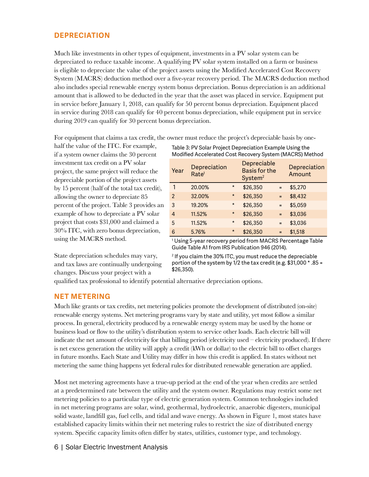#### **DEPRECIATION**

Much like investments in other types of equipment, investments in a PV solar system can be depreciated to reduce taxable income. A qualifying PV solar system installed on a farm or business is eligible to depreciate the value of the project assets using the Modified Accelerated Cost Recovery System (MACRS) deduction method over a five-year recovery period. The MACRS deduction method also includes special renewable energy system bonus depreciation. Bonus depreciation is an additional amount that is allowed to be deducted in the year that the asset was placed in service. Equipment put in service before January 1, 2018, can qualify for 50 percent bonus depreciation. Equipment placed in service during 2018 can qualify for 40 percent bonus depreciation, while equipment put in service during 2019 can qualify for 30 percent bonus depreciation.

For equipment that claims a tax credit, the owner must reduce the project's depreciable basis by one-

half the value of the ITC. For example, if a system owner claims the 30 percent investment tax credit on a PV solar project, the same project will reduce the depreciable portion of the project assets by 15 percent (half of the total tax credit), allowing the owner to depreciate 85 percent of the project. Table 3 provides an example of how to depreciate a PV solar project that costs \$31,000 and claimed a 30% ITC, with zero bonus depreciation, using the MACRS method.

State depreciation schedules may vary, and tax laws are continually undergoing changes. Discuss your project with a

Table 3: PV Solar Project Depreciation Example Using the Modified Accelerated Cost Recovery System (MACRS) Method

| Year          | Depreciation<br>Rate <sup>1</sup> |         | Depreciable<br><b>Basis for the</b><br>System <sup>2</sup> |          | Depreciation<br>Amount |
|---------------|-----------------------------------|---------|------------------------------------------------------------|----------|------------------------|
| 1             | 20.00%                            | $\star$ | \$26,350                                                   | $=$      | \$5,270                |
| $\mathcal{P}$ | 32.00%                            | $\star$ | \$26,350                                                   | $\equiv$ | \$8,432                |
| 3             | 19.20%                            | $\star$ | \$26,350                                                   | $=$      | \$5,059                |
| 4             | 11.52%                            | $\star$ | \$26,350                                                   | $=$      | \$3,036                |
| 5             | 11.52%                            | $\star$ | \$26,350                                                   | $=$      | \$3,036                |
| 6             | 5.76%                             | $\star$ | \$26,350                                                   | $=$      | \$1,518                |

1 Using 5-year recovery period from MACRS Percentage Table Guide Table A1 from IRS Publication 946 (2014).

2 If you claim the 30% ITC, you must reduce the depreciable portion of the system by  $1/2$  the tax credit (e.g. \$31,000  $*$  .85 = \$26,350).

qualified tax professional to identify potential alternative depreciation options.

#### **NET METERING**

Much like grants or tax credits, net metering policies promote the development of distributed (on-site) renewable energy systems. Net metering programs vary by state and utility, yet most follow a similar process. In general, electricity produced by a renewable energy system may be used by the home or business load or flow to the utility's distribution system to service other loads. Each electric bill will indicate the net amount of electricity for that billing period (electricity used – electricity produced). If there is net excess generation the utility will apply a credit (kWh or dollar) to the electric bill to offset charges in future months. Each State and Utility may differ in how this credit is applied. In states without net metering the same thing happens yet federal rules for distributed renewable generation are applied.

Most net metering agreements have a true-up period at the end of the year when credits are settled at a predetermined rate between the utility and the system owner. Regulations may restrict some net metering policies to a particular type of electric generation system. Common technologies included in net metering programs are solar, wind, geothermal, hydroelectric, anaerobic digesters, municipal solid waste, landfill gas, fuel cells, and tidal and wave energy. As shown in Figure 1, most states have established capacity limits within their net metering rules to restrict the size of distributed energy system. Specific capacity limits often differ by states, utilities, customer type, and technology.

#### 6 | Solar Electric Investment Analysis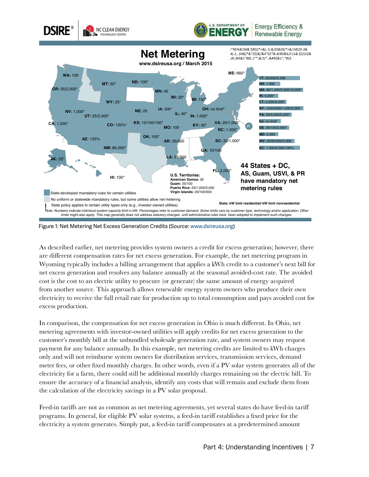

Figure 1: Net Metering Net Excess Generation Credits (Source: www.dsireusa.org)

As described earlier, net metering provides system owners a credit for excess generation; however, there are different compensation rates for net excess generation. For example, the net metering program in Wyoming typically includes a billing arrangement that applies a kWh credit to a customer's next bill for net excess generation and resolves any balance annually at the seasonal avoided-cost rate. The avoided cost is the cost to an electric utility to procure (or generate) the same amount of energy acquired from another source. This approach allows renewable energy system owners who produce their own electricity to receive the full retail rate for production up to total consumption and pays avoided cost for excess production.

In comparison, the compensation for net excess generation in Ohio is much different. In Ohio, net metering agreements with investor-owned utilities will apply credits for net excess generation to the customer's monthly bill at the unbundled wholesale generation rate, and system owners may request payment for any balance annually. In this example, net metering credits are limited to kWh charges only and will not reimburse system owners for distribution services, transmission services, demand meter fees, or other fixed monthly charges. In other words, even if a PV solar system generates all of the electricity for a farm, there could still be additional monthly charges remaining on the electric bill. To ensure the accuracy of a financial analysis, identify any costs that will remain and exclude them from the calculation of the electricity savings in a PV solar proposal.

Feed-in tariffs are not as common as net metering agreements, yet several states do have feed-in tariff programs. In general, for eligible PV solar systems, a feed-in tariff establishes a fixed price for the electricity a system generates. Simply put, a feed-in tariff compensates at a predetermined amount